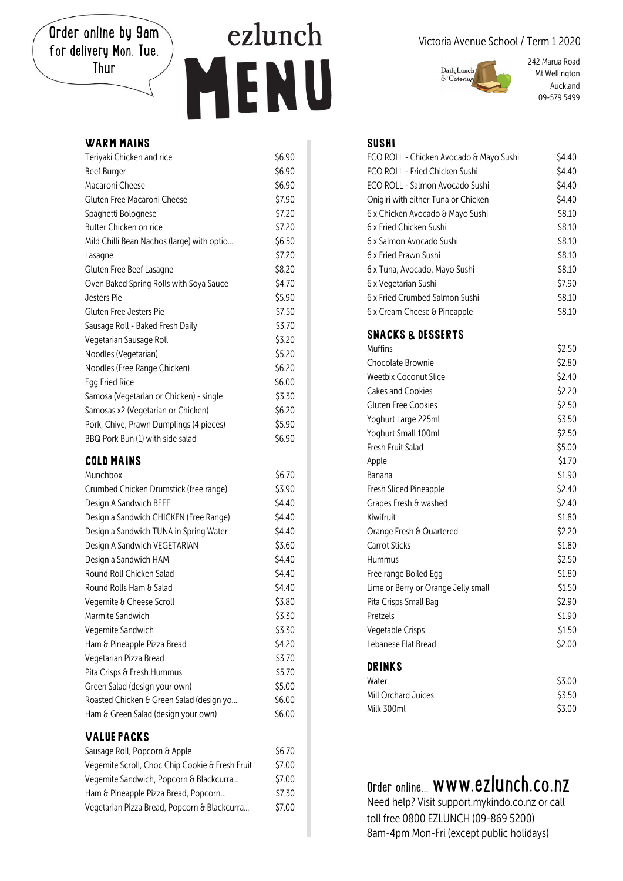Order online by 9am for delivery Mon, Tue, Thur

# ezlunch ENU H

### WARM MAINS

| Teriyaki Chicken and rice                  | \$6.90 |
|--------------------------------------------|--------|
| <b>Beef Burger</b>                         | \$6.90 |
| Macaroni Cheese                            | \$6.90 |
| Gluten Free Macaroni Cheese                | \$7.90 |
| Spaghetti Bolognese                        | \$7.20 |
| Butter Chicken on rice                     | \$7.20 |
| Mild Chilli Bean Nachos (large) with optio | \$6.50 |
| Lasagne                                    | \$7.20 |
| Gluten Free Beef Lasagne                   | \$8.20 |
| Oven Baked Spring Rolls with Soya Sauce    | \$4.70 |
| Jesters Pie                                | \$5.90 |
| Gluten Free Jesters Pie                    | \$7.50 |
| Sausage Roll - Baked Fresh Daily           | \$3.70 |
| Vegetarian Sausage Roll                    | \$3.20 |
| Noodles (Vegetarian)                       | \$5.20 |
| Noodles (Free Range Chicken)               | \$6.20 |
| Egg Fried Rice                             | \$6.00 |
| Samosa (Vegetarian or Chicken) - single    | \$3.30 |
| Samosas x2 (Vegetarian or Chicken)         | \$6.20 |
| Pork, Chive, Prawn Dumplings (4 pieces)    | \$5.90 |
| BBQ Pork Bun (1) with side salad           | \$6.90 |

#### COLD MAINS

| Munchbox                                 | \$6.70 |
|------------------------------------------|--------|
| Crumbed Chicken Drumstick (free range)   | \$3.90 |
| Design A Sandwich BEEF                   | \$4.40 |
| Design a Sandwich CHICKEN (Free Range)   | \$4.40 |
| Design a Sandwich TUNA in Spring Water   | \$4.40 |
| Design A Sandwich VEGETARIAN             | \$3.60 |
| Design a Sandwich HAM                    | \$4.40 |
| Round Roll Chicken Salad                 | \$4.40 |
| Round Rolls Ham & Salad                  | \$4.40 |
| Vegemite & Cheese Scroll                 | \$3.80 |
| Marmite Sandwich                         | \$3.30 |
| Vegemite Sandwich                        | \$3.30 |
| Ham & Pineapple Pizza Bread              | \$4.20 |
| Vegetarian Pizza Bread                   | \$3.70 |
| Pita Crisps & Fresh Hummus               | \$5.70 |
| Green Salad (design your own)            | \$5.00 |
| Roasted Chicken & Green Salad (design yo | \$6.00 |
| Ham & Green Salad (design your own)      | \$6.00 |
| <b>VALUE PACKS</b>                       |        |

| Sausage Roll, Popcorn & Apple                   | \$6.70 |
|-------------------------------------------------|--------|
| Vegemite Scroll, Choc Chip Cookie & Fresh Fruit | \$7.00 |
| Vegemite Sandwich, Popcorn & Blackcurra         | \$7.00 |
| Ham & Pineapple Pizza Bread, Popcorn            | \$7.30 |
| Vegetarian Pizza Bread, Popcorn & Blackcurra    | \$7.00 |

#### Victoria Avenue School / Term 1 2020



242 Marua Road Mt Wellington Auckland 09-579 5499

#### SUSHI

| ECO ROLL - Chicken Avocado & Mayo Sushi | \$4.40 |
|-----------------------------------------|--------|
| ECO ROLL - Fried Chicken Sushi          | \$4.40 |
| ECO ROLL - Salmon Avocado Sushi         | \$4.40 |
| Onigiri with either Tuna or Chicken     | \$4.40 |
| 6 x Chicken Avocado & Mayo Sushi        | \$8.10 |
| 6 x Fried Chicken Sushi                 | \$8.10 |
| 6 x Salmon Avocado Sushi                | \$8.10 |
| 6 x Fried Prawn Sushi                   | \$8.10 |
| 6 x Tuna, Avocado, Mayo Sushi           | \$8.10 |
| 6 x Vegetarian Sushi                    | \$7.90 |
| 6 x Fried Crumbed Salmon Sushi          | \$8.10 |
| 6 x Cream Cheese & Pineapple            | \$8.10 |
| <b>SNACKS &amp; DESSERTS</b>            |        |
| Muffins                                 | \$2.50 |
| Chocolate Brownie                       | \$2.80 |
| <b>Weetbix Coconut Slice</b>            | \$2.40 |
| Cakes and Cookies                       | \$2.20 |
| Gluten Free Cookies                     | \$2.50 |
| Yoghurt Large 225ml                     | \$3.50 |
| Yoghurt Small 100ml                     | \$2.50 |
| Fresh Fruit Salad                       | \$5.00 |
| Apple                                   | \$1.70 |
| Banana                                  | \$1.90 |
| Fresh Sliced Pineapple                  | \$2.40 |
| Grapes Fresh & washed                   | \$2.40 |
| Kiwifruit                               | \$1.80 |
| Orange Fresh & Quartered                | \$2.20 |
| <b>Carrot Sticks</b>                    | \$1.80 |
| Hummus                                  | \$2.50 |
| Free range Boiled Egg                   | \$1.80 |
| Lime or Berry or Orange Jelly small     | \$1.50 |
| Pita Crisps Small Bag                   | \$2.90 |
| Pretzels                                | \$1.90 |
| Vegetable Crisps                        | \$1.50 |
| Lebanese Flat Bread                     | \$2.00 |
| DRINKS                                  |        |

| --------            |        |
|---------------------|--------|
| Water               | \$3.00 |
| Mill Orchard Juices | \$3.50 |
| Milk 300ml          | \$3.00 |
|                     |        |

## Order online... www.ezlunch.co.nz

Need help? Visit support.mykindo.co.nz or call toll free 0800 EZLUNCH (09-869 5200) 8am-4pm Mon-Fri (except public holidays)